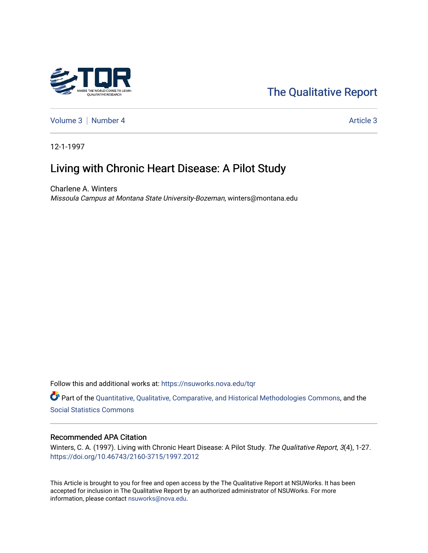[The Qualitative Report](https://nsuworks.nova.edu/tqr) 

[Volume 3](https://nsuworks.nova.edu/tqr/vol3) | [Number 4](https://nsuworks.nova.edu/tqr/vol3/iss4) Article 3

12-1-1997

# Living with Chronic Heart Disease: A Pilot Study

Charlene A. Winters Missoula Campus at Montana State University-Bozeman, winters@montana.edu

Follow this and additional works at: [https://nsuworks.nova.edu/tqr](https://nsuworks.nova.edu/tqr?utm_source=nsuworks.nova.edu%2Ftqr%2Fvol3%2Fiss4%2F3&utm_medium=PDF&utm_campaign=PDFCoverPages) 

Part of the [Quantitative, Qualitative, Comparative, and Historical Methodologies Commons,](http://network.bepress.com/hgg/discipline/423?utm_source=nsuworks.nova.edu%2Ftqr%2Fvol3%2Fiss4%2F3&utm_medium=PDF&utm_campaign=PDFCoverPages) and the [Social Statistics Commons](http://network.bepress.com/hgg/discipline/1275?utm_source=nsuworks.nova.edu%2Ftqr%2Fvol3%2Fiss4%2F3&utm_medium=PDF&utm_campaign=PDFCoverPages) 

#### Recommended APA Citation

Winters, C. A. (1997). Living with Chronic Heart Disease: A Pilot Study. The Qualitative Report, 3(4), 1-27. <https://doi.org/10.46743/2160-3715/1997.2012>

This Article is brought to you for free and open access by the The Qualitative Report at NSUWorks. It has been accepted for inclusion in The Qualitative Report by an authorized administrator of NSUWorks. For more information, please contact [nsuworks@nova.edu.](mailto:nsuworks@nova.edu)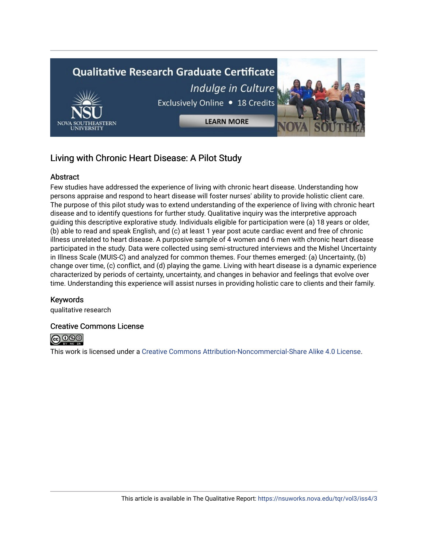

# Living with Chronic Heart Disease: A Pilot Study

#### **Abstract**

Few studies have addressed the experience of living with chronic heart disease. Understanding how persons appraise and respond to heart disease will foster nurses' ability to provide holistic client care. The purpose of this pilot study was to extend understanding of the experience of living with chronic heart disease and to identify questions for further study. Qualitative inquiry was the interpretive approach guiding this descriptive explorative study. Individuals eligible for participation were (a) 18 years or older, (b) able to read and speak English, and (c) at least 1 year post acute cardiac event and free of chronic illness unrelated to heart disease. A purposive sample of 4 women and 6 men with chronic heart disease participated in the study. Data were collected using semi-structured interviews and the Mishel Uncertainty in Illness Scale (MUIS-C) and analyzed for common themes. Four themes emerged: (a) Uncertainty, (b) change over time, (c) conflict, and (d) playing the game. Living with heart disease is a dynamic experience characterized by periods of certainty, uncertainty, and changes in behavior and feelings that evolve over time. Understanding this experience will assist nurses in providing holistic care to clients and their family.

#### Keywords

qualitative research

#### Creative Commons License



This work is licensed under a [Creative Commons Attribution-Noncommercial-Share Alike 4.0 License](https://creativecommons.org/licenses/by-nc-sa/4.0/).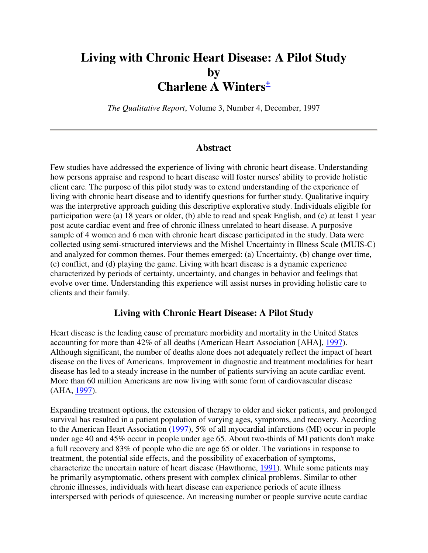# **Living with Chronic Heart Disease: A Pilot Study by Charlene A Winters<sup>+</sup>**

*The Qualitative Report*, Volume 3, Number 4, December, 1997

#### **Abstract**

Few studies have addressed the experience of living with chronic heart disease. Understanding how persons appraise and respond to heart disease will foster nurses' ability to provide holistic client care. The purpose of this pilot study was to extend understanding of the experience of living with chronic heart disease and to identify questions for further study. Qualitative inquiry was the interpretive approach guiding this descriptive explorative study. Individuals eligible for participation were (a) 18 years or older, (b) able to read and speak English, and (c) at least 1 year post acute cardiac event and free of chronic illness unrelated to heart disease. A purposive sample of 4 women and 6 men with chronic heart disease participated in the study. Data were collected using semi-structured interviews and the Mishel Uncertainty in Illness Scale (MUIS-C) and analyzed for common themes. Four themes emerged: (a) Uncertainty, (b) change over time, (c) conflict, and (d) playing the game. Living with heart disease is a dynamic experience characterized by periods of certainty, uncertainty, and changes in behavior and feelings that evolve over time. Understanding this experience will assist nurses in providing holistic care to clients and their family.

#### **Living with Chronic Heart Disease: A Pilot Study**

Heart disease is the leading cause of premature morbidity and mortality in the United States accounting for more than 42% of all deaths (American Heart Association [AHA], 1997). Although significant, the number of deaths alone does not adequately reflect the impact of heart disease on the lives of Americans. Improvement in diagnostic and treatment modalities for heart disease has led to a steady increase in the number of patients surviving an acute cardiac event. More than 60 million Americans are now living with some form of cardiovascular disease (AHA, 1997).

Expanding treatment options, the extension of therapy to older and sicker patients, and prolonged survival has resulted in a patient population of varying ages, symptoms, and recovery. According to the American Heart Association (1997), 5% of all myocardial infarctions (MI) occur in people under age 40 and 45% occur in people under age 65. About two-thirds of MI patients don't make a full recovery and 83% of people who die are age 65 or older. The variations in response to treatment, the potential side effects, and the possibility of exacerbation of symptoms, characterize the uncertain nature of heart disease (Hawthorne, 1991). While some patients may be primarily asymptomatic, others present with complex clinical problems. Similar to other chronic illnesses, individuals with heart disease can experience periods of acute illness interspersed with periods of quiescence. An increasing number or people survive acute cardiac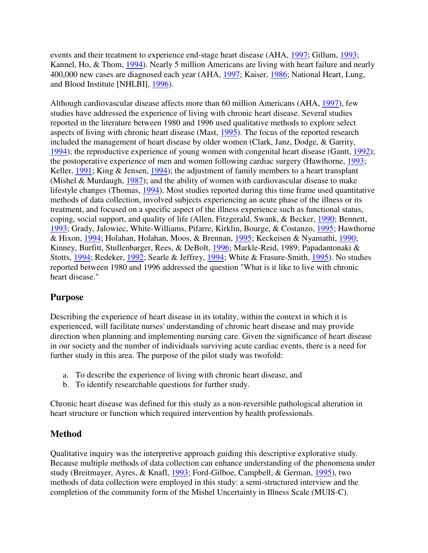events and their treatment to experience end-stage heart disease (AHA, 1997; Gillum, 1993; Kannel, Ho, & Thom, 1994). Nearly 5 million Americans are living with heart failure and nearly 400,000 new cases are diagnosed each year (AHA, 1997; Kaiser, 1986; National Heart, Lung, and Blood Institute [NHLBI], 1996).

Although cardiovascular disease affects more than 60 million Americans (AHA, 1997), few studies have addressed the experience of living with chronic heart disease. Several studies reported in the literature between 1980 and 1996 used qualitative methods to explore select aspects of living with chronic heart disease (Mast, 1995). The focus of the reported research included the management of heart disease by older women (Clark, Janz, Dodge, & Garrity, 1994); the reproductive experience of young women with congenital heart disease (Gantt, 1992); the postoperative experience of men and women following cardiac surgery (Hawthorne, 1993; Keller, 1991; King & Jensen, 1994); the adjustment of family members to a heart transplant (Mishel & Murdaugh,  $1987$ ); and the ability of women with cardiovascular disease to make lifestyle changes (Thomas, 1994). Most studies reported during this time frame used quantitative methods of data collection, involved subjects experiencing an acute phase of the illness or its treatment, and focused on a specific aspect of the illness experience such as functional status, coping, social support, and quality of life (Allen, Fitzgerald, Swank, & Becker, 1990; Bennett, 1993; Grady, Jalowiec, White-Williams, Pifarre, Kirklin, Bourge, & Costanzo, 1995; Hawthorne & Hixon, 1994; Holahan, Holahan, Moos, & Brennan, 1995; Keckeisen & Nyamathi, 1990; Kinney, Burfitt, Stullenbarger, Rees, & DeBolt, 1996; Markle-Reid, 1989; Papadantonaki & Stotts, 1994; Redeker, 1992; Searle & Jeffrey, 1994; White & Frasure-Smith, 1995). No studies reported between 1980 and 1996 addressed the question "What is it like to live with chronic heart disease."

# **Purpose**

Describing the experience of heart disease in its totality, within the context in which it is experienced, will facilitate nurses' understanding of chronic heart disease and may provide direction when planning and implementing nursing care. Given the significance of heart disease in our society and the number of individuals surviving acute cardiac events, there is a need for further study in this area. The purpose of the pilot study was twofold:

- a. To describe the experience of living with chronic heart disease, and
- b. To identify researchable questions for further study.

Chronic heart disease was defined for this study as a non-reversible pathological alteration in heart structure or function which required intervention by health professionals.

### **Method**

Qualitative inquiry was the interpretive approach guiding this descriptive explorative study. Because multiple methods of data collection can enhance understanding of the phenomena under study (Breitmayer, Ayres, & Knafl, 1993; Ford-Gilboe, Campbell, & German, 1995), two methods of data collection were employed in this study: a semi-structured interview and the completion of the community form of the Mishel Uncertainty in Illness Scale (MUIS-C).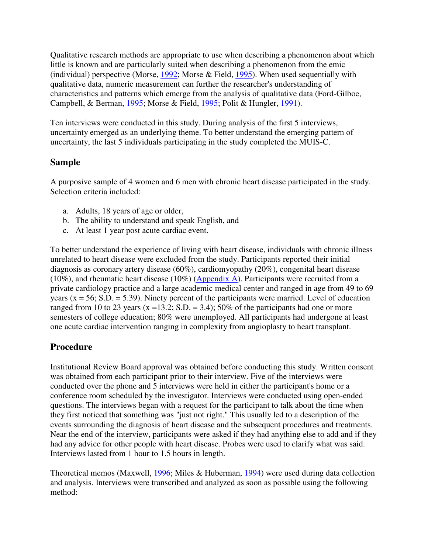Qualitative research methods are appropriate to use when describing a phenomenon about which little is known and are particularly suited when describing a phenomenon from the emic (individual) perspective (Morse, 1992; Morse & Field, 1995). When used sequentially with qualitative data, numeric measurement can further the researcher's understanding of characteristics and patterns which emerge from the analysis of qualitative data (Ford-Gilboe, Campbell, & Berman, 1995; Morse & Field, 1995; Polit & Hungler, 1991).

Ten interviews were conducted in this study. During analysis of the first 5 interviews, uncertainty emerged as an underlying theme. To better understand the emerging pattern of uncertainty, the last 5 individuals participating in the study completed the MUIS-C.

### **Sample**

A purposive sample of 4 women and 6 men with chronic heart disease participated in the study. Selection criteria included:

- a. Adults, 18 years of age or older,
- b. The ability to understand and speak English, and
- c. At least 1 year post acute cardiac event.

To better understand the experience of living with heart disease, individuals with chronic illness unrelated to heart disease were excluded from the study. Participants reported their initial diagnosis as coronary artery disease (60%), cardiomyopathy (20%), congenital heart disease (10%), and rheumatic heart disease (10%) (Appendix A). Participants were recruited from a private cardiology practice and a large academic medical center and ranged in age from 49 to 69 years ( $x = 56$ ; S.D. = 5.39). Ninety percent of the participants were married. Level of education ranged from 10 to 23 years  $(x = 13.2; S.D. = 3.4)$ ; 50% of the participants had one or more semesters of college education; 80% were unemployed. All participants had undergone at least one acute cardiac intervention ranging in complexity from angioplasty to heart transplant.

# **Procedure**

Institutional Review Board approval was obtained before conducting this study. Written consent was obtained from each participant prior to their interview. Five of the interviews were conducted over the phone and 5 interviews were held in either the participant's home or a conference room scheduled by the investigator. Interviews were conducted using open-ended questions. The interviews began with a request for the participant to talk about the time when they first noticed that something was "just not right." This usually led to a description of the events surrounding the diagnosis of heart disease and the subsequent procedures and treatments. Near the end of the interview, participants were asked if they had anything else to add and if they had any advice for other people with heart disease. Probes were used to clarify what was said. Interviews lasted from 1 hour to 1.5 hours in length.

Theoretical memos (Maxwell, 1996; Miles & Huberman, 1994) were used during data collection and analysis. Interviews were transcribed and analyzed as soon as possible using the following method: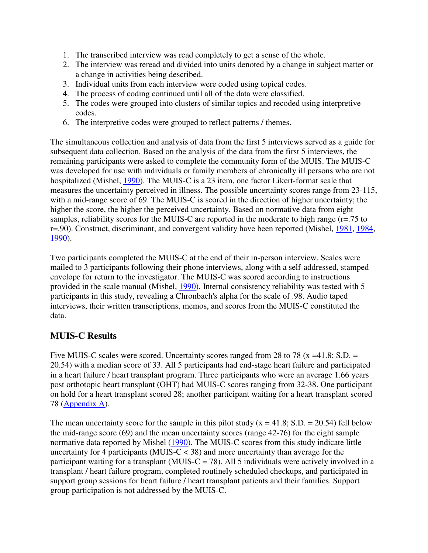- 1. The transcribed interview was read completely to get a sense of the whole.
- 2. The interview was reread and divided into units denoted by a change in subject matter or a change in activities being described.
- 3. Individual units from each interview were coded using topical codes.
- 4. The process of coding continued until all of the data were classified.
- 5. The codes were grouped into clusters of similar topics and recoded using interpretive codes.
- 6. The interpretive codes were grouped to reflect patterns / themes.

The simultaneous collection and analysis of data from the first 5 interviews served as a guide for subsequent data collection. Based on the analysis of the data from the first 5 interviews, the remaining participants were asked to complete the community form of the MUIS. The MUIS-C was developed for use with individuals or family members of chronically ill persons who are not hospitalized (Mishel, 1990). The MUIS-C is a 23 item, one factor Likert-format scale that measures the uncertainty perceived in illness. The possible uncertainty scores range from 23-115, with a mid-range score of 69. The MUIS-C is scored in the direction of higher uncertainty; the higher the score, the higher the perceived uncertainty. Based on normative data from eight samples, reliability scores for the MUIS-C are reported in the moderate to high range (r=.75 to r=.90). Construct, discriminant, and convergent validity have been reported (Mishel, 1981, 1984, 1990).

Two participants completed the MUIS-C at the end of their in-person interview. Scales were mailed to 3 participants following their phone interviews, along with a self-addressed, stamped envelope for return to the investigator. The MUIS-C was scored according to instructions provided in the scale manual (Mishel, 1990). Internal consistency reliability was tested with 5 participants in this study, revealing a Chronbach's alpha for the scale of .98. Audio taped interviews, their written transcriptions, memos, and scores from the MUIS-C constituted the data.

# **MUIS-C Results**

Five MUIS-C scales were scored. Uncertainty scores ranged from 28 to 78 ( $x = 41.8$ ; S.D. = 20.54) with a median score of 33. All 5 participants had end-stage heart failure and participated in a heart failure / heart transplant program. Three participants who were an average 1.66 years post orthotopic heart transplant (OHT) had MUIS-C scores ranging from 32-38. One participant on hold for a heart transplant scored 28; another participant waiting for a heart transplant scored 78 (Appendix A).

The mean uncertainty score for the sample in this pilot study ( $x = 41.8$ ; S.D. = 20.54) fell below the mid-range score (69) and the mean uncertainty scores (range 42-76) for the eight sample normative data reported by Mishel (1990). The MUIS-C scores from this study indicate little uncertainty for 4 participants (MUIS- $C < 38$ ) and more uncertainty than average for the participant waiting for a transplant (MUIS-C = 78). All 5 individuals were actively involved in a transplant / heart failure program, completed routinely scheduled checkups, and participated in support group sessions for heart failure / heart transplant patients and their families. Support group participation is not addressed by the MUIS-C.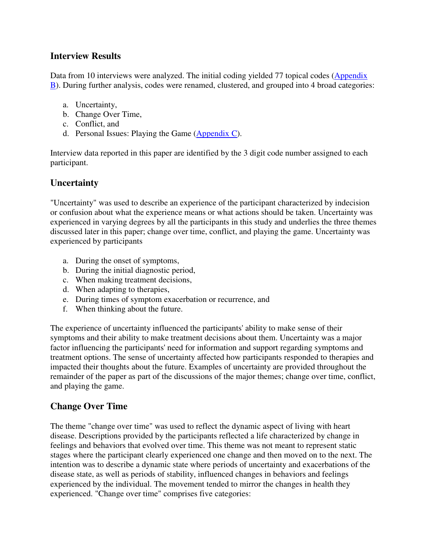## **Interview Results**

Data from 10 interviews were analyzed. The initial coding yielded 77 topical codes (Appendix B). During further analysis, codes were renamed, clustered, and grouped into 4 broad categories:

- a. Uncertainty,
- b. Change Over Time,
- c. Conflict, and
- d. Personal Issues: Playing the Game  $(Appendix C)$ .

Interview data reported in this paper are identified by the 3 digit code number assigned to each participant.

## **Uncertainty**

"Uncertainty" was used to describe an experience of the participant characterized by indecision or confusion about what the experience means or what actions should be taken. Uncertainty was experienced in varying degrees by all the participants in this study and underlies the three themes discussed later in this paper; change over time, conflict, and playing the game. Uncertainty was experienced by participants

- a. During the onset of symptoms,
- b. During the initial diagnostic period,
- c. When making treatment decisions,
- d. When adapting to therapies,
- e. During times of symptom exacerbation or recurrence, and
- f. When thinking about the future.

The experience of uncertainty influenced the participants' ability to make sense of their symptoms and their ability to make treatment decisions about them. Uncertainty was a major factor influencing the participants' need for information and support regarding symptoms and treatment options. The sense of uncertainty affected how participants responded to therapies and impacted their thoughts about the future. Examples of uncertainty are provided throughout the remainder of the paper as part of the discussions of the major themes; change over time, conflict, and playing the game.

# **Change Over Time**

The theme "change over time" was used to reflect the dynamic aspect of living with heart disease. Descriptions provided by the participants reflected a life characterized by change in feelings and behaviors that evolved over time. This theme was not meant to represent static stages where the participant clearly experienced one change and then moved on to the next. The intention was to describe a dynamic state where periods of uncertainty and exacerbations of the disease state, as well as periods of stability, influenced changes in behaviors and feelings experienced by the individual. The movement tended to mirror the changes in health they experienced. "Change over time" comprises five categories: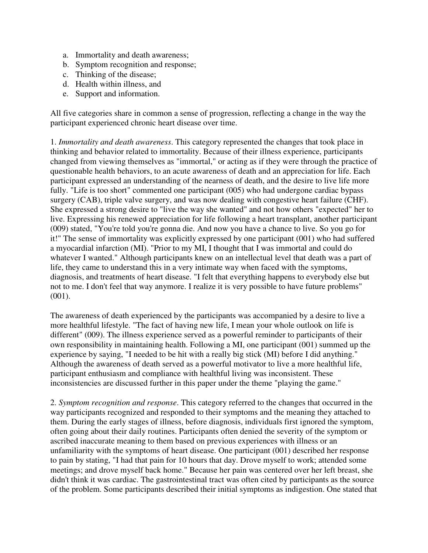- a. Immortality and death awareness;
- b. Symptom recognition and response;
- c. Thinking of the disease;
- d. Health within illness, and
- e. Support and information.

All five categories share in common a sense of progression, reflecting a change in the way the participant experienced chronic heart disease over time.

1. *Immortality and death awareness*. This category represented the changes that took place in thinking and behavior related to immortality. Because of their illness experience, participants changed from viewing themselves as "immortal," or acting as if they were through the practice of questionable health behaviors, to an acute awareness of death and an appreciation for life. Each participant expressed an understanding of the nearness of death, and the desire to live life more fully. "Life is too short" commented one participant (005) who had undergone cardiac bypass surgery (CAB), triple valve surgery, and was now dealing with congestive heart failure (CHF). She expressed a strong desire to "live the way she wanted" and not how others "expected" her to live. Expressing his renewed appreciation for life following a heart transplant, another participant (009) stated, "You're told you're gonna die. And now you have a chance to live. So you go for it!" The sense of immortality was explicitly expressed by one participant (001) who had suffered a myocardial infarction (MI). "Prior to my MI, I thought that I was immortal and could do whatever I wanted." Although participants knew on an intellectual level that death was a part of life, they came to understand this in a very intimate way when faced with the symptoms, diagnosis, and treatments of heart disease. "I felt that everything happens to everybody else but not to me. I don't feel that way anymore. I realize it is very possible to have future problems" (001).

The awareness of death experienced by the participants was accompanied by a desire to live a more healthful lifestyle. "The fact of having new life, I mean your whole outlook on life is different" (009). The illness experience served as a powerful reminder to participants of their own responsibility in maintaining health. Following a MI, one participant (001) summed up the experience by saying, "I needed to be hit with a really big stick (MI) before I did anything." Although the awareness of death served as a powerful motivator to live a more healthful life, participant enthusiasm and compliance with healthful living was inconsistent. These inconsistencies are discussed further in this paper under the theme "playing the game."

2. *Symptom recognition and response*. This category referred to the changes that occurred in the way participants recognized and responded to their symptoms and the meaning they attached to them. During the early stages of illness, before diagnosis, individuals first ignored the symptom, often going about their daily routines. Participants often denied the severity of the symptom or ascribed inaccurate meaning to them based on previous experiences with illness or an unfamiliarity with the symptoms of heart disease. One participant (001) described her response to pain by stating, "I had that pain for 10 hours that day. Drove myself to work; attended some meetings; and drove myself back home." Because her pain was centered over her left breast, she didn't think it was cardiac. The gastrointestinal tract was often cited by participants as the source of the problem. Some participants described their initial symptoms as indigestion. One stated that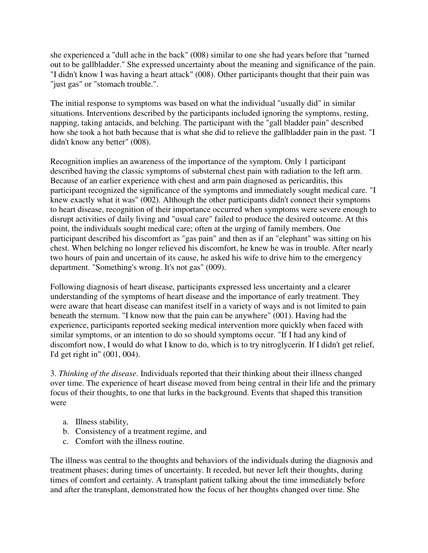she experienced a "dull ache in the back" (008) similar to one she had years before that "turned out to be gallbladder." She expressed uncertainty about the meaning and significance of the pain. "I didn't know I was having a heart attack" (008). Other participants thought that their pain was "just gas" or "stomach trouble.".

The initial response to symptoms was based on what the individual "usually did" in similar situations. Interventions described by the participants included ignoring the symptoms, resting, napping, taking antacids, and belching. The participant with the "gall bladder pain" described how she took a hot bath because that is what she did to relieve the gallbladder pain in the past. "I didn't know any better" (008).

Recognition implies an awareness of the importance of the symptom. Only 1 participant described having the classic symptoms of substernal chest pain with radiation to the left arm. Because of an earlier experience with chest and arm pain diagnosed as pericarditis, this participant recognized the significance of the symptoms and immediately sought medical care. "I knew exactly what it was" (002). Although the other participants didn't connect their symptoms to heart disease, recognition of their importance occurred when symptoms were severe enough to disrupt activities of daily living and "usual care" failed to produce the desired outcome. At this point, the individuals sought medical care; often at the urging of family members. One participant described his discomfort as "gas pain" and then as if an "elephant" was sitting on his chest. When belching no longer relieved his discomfort, he knew he was in trouble. After nearly two hours of pain and uncertain of its cause, he asked his wife to drive him to the emergency department. "Something's wrong. It's not gas" (009).

Following diagnosis of heart disease, participants expressed less uncertainty and a clearer understanding of the symptoms of heart disease and the importance of early treatment. They were aware that heart disease can manifest itself in a variety of ways and is not limited to pain beneath the sternum. "I know now that the pain can be anywhere" (001). Having had the experience, participants reported seeking medical intervention more quickly when faced with similar symptoms, or an intention to do so should symptoms occur. "If I had any kind of discomfort now, I would do what I know to do, which is to try nitroglycerin. If I didn't get relief, I'd get right in" (001, 004).

3. *Thinking of the disease*. Individuals reported that their thinking about their illness changed over time. The experience of heart disease moved from being central in their life and the primary focus of their thoughts, to one that lurks in the background. Events that shaped this transition were

- a. Illness stability,
- b. Consistency of a treatment regime, and
- c. Comfort with the illness routine.

The illness was central to the thoughts and behaviors of the individuals during the diagnosis and treatment phases; during times of uncertainty. It receded, but never left their thoughts, during times of comfort and certainty. A transplant patient talking about the time immediately before and after the transplant, demonstrated how the focus of her thoughts changed over time. She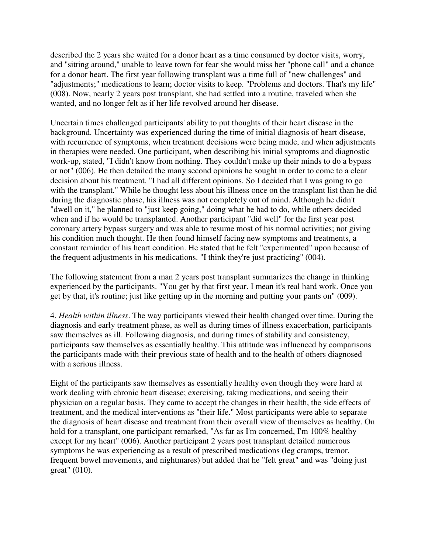described the 2 years she waited for a donor heart as a time consumed by doctor visits, worry, and "sitting around," unable to leave town for fear she would miss her "phone call" and a chance for a donor heart. The first year following transplant was a time full of "new challenges" and "adjustments;" medications to learn; doctor visits to keep. "Problems and doctors. That's my life" (008). Now, nearly 2 years post transplant, she had settled into a routine, traveled when she wanted, and no longer felt as if her life revolved around her disease.

Uncertain times challenged participants' ability to put thoughts of their heart disease in the background. Uncertainty was experienced during the time of initial diagnosis of heart disease, with recurrence of symptoms, when treatment decisions were being made, and when adjustments in therapies were needed. One participant, when describing his initial symptoms and diagnostic work-up, stated, "I didn't know from nothing. They couldn't make up their minds to do a bypass or not" (006). He then detailed the many second opinions he sought in order to come to a clear decision about his treatment. "I had all different opinions. So I decided that I was going to go with the transplant." While he thought less about his illness once on the transplant list than he did during the diagnostic phase, his illness was not completely out of mind. Although he didn't "dwell on it," he planned to "just keep going," doing what he had to do, while others decided when and if he would be transplanted. Another participant "did well" for the first year post coronary artery bypass surgery and was able to resume most of his normal activities; not giving his condition much thought. He then found himself facing new symptoms and treatments, a constant reminder of his heart condition. He stated that he felt "experimented" upon because of the frequent adjustments in his medications. "I think they're just practicing" (004).

The following statement from a man 2 years post transplant summarizes the change in thinking experienced by the participants. "You get by that first year. I mean it's real hard work. Once you get by that, it's routine; just like getting up in the morning and putting your pants on" (009).

4. *Health within illness*. The way participants viewed their health changed over time. During the diagnosis and early treatment phase, as well as during times of illness exacerbation, participants saw themselves as ill. Following diagnosis, and during times of stability and consistency, participants saw themselves as essentially healthy. This attitude was influenced by comparisons the participants made with their previous state of health and to the health of others diagnosed with a serious illness.

Eight of the participants saw themselves as essentially healthy even though they were hard at work dealing with chronic heart disease; exercising, taking medications, and seeing their physician on a regular basis. They came to accept the changes in their health, the side effects of treatment, and the medical interventions as "their life." Most participants were able to separate the diagnosis of heart disease and treatment from their overall view of themselves as healthy. On hold for a transplant, one participant remarked, "As far as I'm concerned, I'm 100% healthy except for my heart" (006). Another participant 2 years post transplant detailed numerous symptoms he was experiencing as a result of prescribed medications (leg cramps, tremor, frequent bowel movements, and nightmares) but added that he "felt great" and was "doing just great" (010).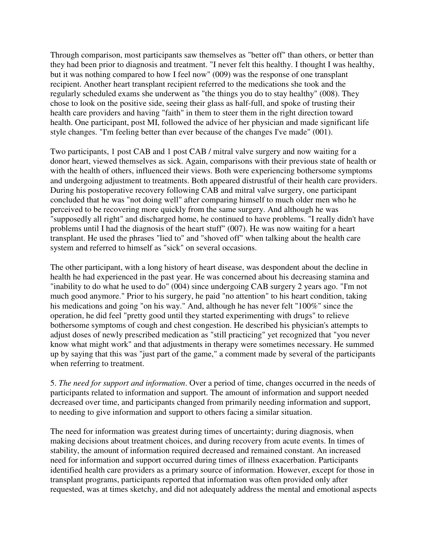Through comparison, most participants saw themselves as "better off" than others, or better than they had been prior to diagnosis and treatment. "I never felt this healthy. I thought I was healthy, but it was nothing compared to how I feel now" (009) was the response of one transplant recipient. Another heart transplant recipient referred to the medications she took and the regularly scheduled exams she underwent as "the things you do to stay healthy" (008). They chose to look on the positive side, seeing their glass as half-full, and spoke of trusting their health care providers and having "faith" in them to steer them in the right direction toward health. One participant, post MI, followed the advice of her physician and made significant life style changes. "I'm feeling better than ever because of the changes I've made" (001).

Two participants, 1 post CAB and 1 post CAB / mitral valve surgery and now waiting for a donor heart, viewed themselves as sick. Again, comparisons with their previous state of health or with the health of others, influenced their views. Both were experiencing bothersome symptoms and undergoing adjustment to treatments. Both appeared distrustful of their health care providers. During his postoperative recovery following CAB and mitral valve surgery, one participant concluded that he was "not doing well" after comparing himself to much older men who he perceived to be recovering more quickly from the same surgery. And although he was "supposedly all right" and discharged home, he continued to have problems. "I really didn't have problems until I had the diagnosis of the heart stuff" (007). He was now waiting for a heart transplant. He used the phrases "lied to" and "shoved off" when talking about the health care system and referred to himself as "sick" on several occasions.

The other participant, with a long history of heart disease, was despondent about the decline in health he had experienced in the past year. He was concerned about his decreasing stamina and "inability to do what he used to do" (004) since undergoing CAB surgery 2 years ago. "I'm not much good anymore." Prior to his surgery, he paid "no attention" to his heart condition, taking his medications and going "on his way." And, although he has never felt "100%" since the operation, he did feel "pretty good until they started experimenting with drugs" to relieve bothersome symptoms of cough and chest congestion. He described his physician's attempts to adjust doses of newly prescribed medication as "still practicing" yet recognized that "you never know what might work" and that adjustments in therapy were sometimes necessary. He summed up by saying that this was "just part of the game," a comment made by several of the participants when referring to treatment.

5. *The need for support and information*. Over a period of time, changes occurred in the needs of participants related to information and support. The amount of information and support needed decreased over time, and participants changed from primarily needing information and support, to needing to give information and support to others facing a similar situation.

The need for information was greatest during times of uncertainty; during diagnosis, when making decisions about treatment choices, and during recovery from acute events. In times of stability, the amount of information required decreased and remained constant. An increased need for information and support occurred during times of illness exacerbation. Participants identified health care providers as a primary source of information. However, except for those in transplant programs, participants reported that information was often provided only after requested, was at times sketchy, and did not adequately address the mental and emotional aspects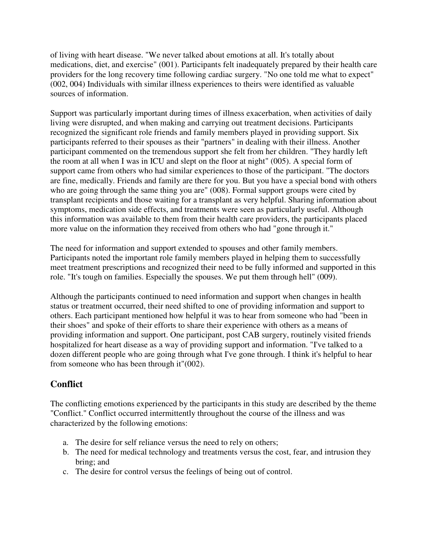of living with heart disease. "We never talked about emotions at all. It's totally about medications, diet, and exercise" (001). Participants felt inadequately prepared by their health care providers for the long recovery time following cardiac surgery. "No one told me what to expect" (002, 004) Individuals with similar illness experiences to theirs were identified as valuable sources of information.

Support was particularly important during times of illness exacerbation, when activities of daily living were disrupted, and when making and carrying out treatment decisions. Participants recognized the significant role friends and family members played in providing support. Six participants referred to their spouses as their "partners" in dealing with their illness. Another participant commented on the tremendous support she felt from her children. "They hardly left the room at all when I was in ICU and slept on the floor at night" (005). A special form of support came from others who had similar experiences to those of the participant. "The doctors are fine, medically. Friends and family are there for you. But you have a special bond with others who are going through the same thing you are" (008). Formal support groups were cited by transplant recipients and those waiting for a transplant as very helpful. Sharing information about symptoms, medication side effects, and treatments were seen as particularly useful. Although this information was available to them from their health care providers, the participants placed more value on the information they received from others who had "gone through it."

The need for information and support extended to spouses and other family members. Participants noted the important role family members played in helping them to successfully meet treatment prescriptions and recognized their need to be fully informed and supported in this role. "It's tough on families. Especially the spouses. We put them through hell" (009).

Although the participants continued to need information and support when changes in health status or treatment occurred, their need shifted to one of providing information and support to others. Each participant mentioned how helpful it was to hear from someone who had "been in their shoes" and spoke of their efforts to share their experience with others as a means of providing information and support. One participant, post CAB surgery, routinely visited friends hospitalized for heart disease as a way of providing support and information. "I've talked to a dozen different people who are going through what I've gone through. I think it's helpful to hear from someone who has been through it"(002).

# **Conflict**

The conflicting emotions experienced by the participants in this study are described by the theme "Conflict." Conflict occurred intermittently throughout the course of the illness and was characterized by the following emotions:

- a. The desire for self reliance versus the need to rely on others;
- b. The need for medical technology and treatments versus the cost, fear, and intrusion they bring; and
- c. The desire for control versus the feelings of being out of control.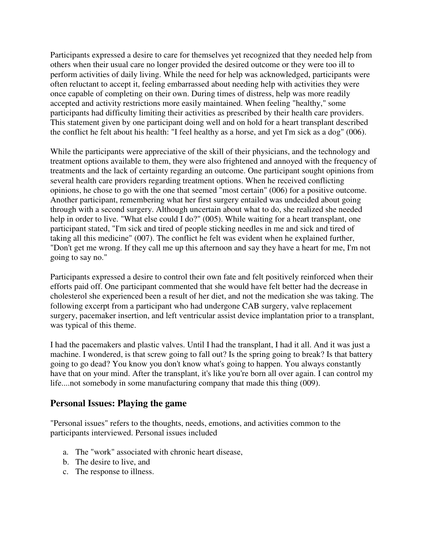Participants expressed a desire to care for themselves yet recognized that they needed help from others when their usual care no longer provided the desired outcome or they were too ill to perform activities of daily living. While the need for help was acknowledged, participants were often reluctant to accept it, feeling embarrassed about needing help with activities they were once capable of completing on their own. During times of distress, help was more readily accepted and activity restrictions more easily maintained. When feeling "healthy," some participants had difficulty limiting their activities as prescribed by their health care providers. This statement given by one participant doing well and on hold for a heart transplant described the conflict he felt about his health: "I feel healthy as a horse, and yet I'm sick as a dog" (006).

While the participants were appreciative of the skill of their physicians, and the technology and treatment options available to them, they were also frightened and annoyed with the frequency of treatments and the lack of certainty regarding an outcome. One participant sought opinions from several health care providers regarding treatment options. When he received conflicting opinions, he chose to go with the one that seemed "most certain" (006) for a positive outcome. Another participant, remembering what her first surgery entailed was undecided about going through with a second surgery. Although uncertain about what to do, she realized she needed help in order to live. "What else could I do?" (005). While waiting for a heart transplant, one participant stated, "I'm sick and tired of people sticking needles in me and sick and tired of taking all this medicine" (007). The conflict he felt was evident when he explained further, "Don't get me wrong. If they call me up this afternoon and say they have a heart for me, I'm not going to say no."

Participants expressed a desire to control their own fate and felt positively reinforced when their efforts paid off. One participant commented that she would have felt better had the decrease in cholesterol she experienced been a result of her diet, and not the medication she was taking. The following excerpt from a participant who had undergone CAB surgery, valve replacement surgery, pacemaker insertion, and left ventricular assist device implantation prior to a transplant, was typical of this theme.

I had the pacemakers and plastic valves. Until I had the transplant, I had it all. And it was just a machine. I wondered, is that screw going to fall out? Is the spring going to break? Is that battery going to go dead? You know you don't know what's going to happen. You always constantly have that on your mind. After the transplant, it's like you're born all over again. I can control my life....not somebody in some manufacturing company that made this thing (009).

#### **Personal Issues: Playing the game**

"Personal issues" refers to the thoughts, needs, emotions, and activities common to the participants interviewed. Personal issues included

- a. The "work" associated with chronic heart disease,
- b. The desire to live, and
- c. The response to illness.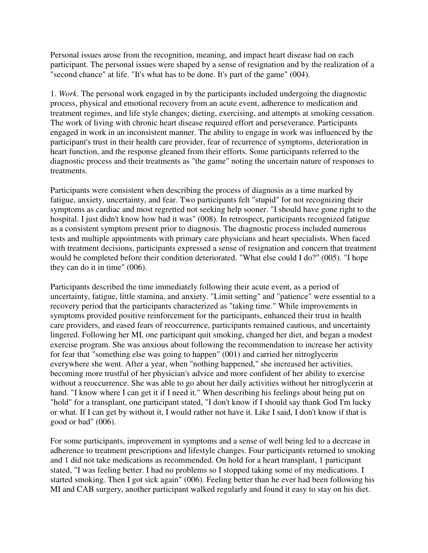Personal issues arose from the recognition, meaning, and impact heart disease had on each participant. The personal issues were shaped by a sense of resignation and by the realization of a "second chance" at life. "It's what has to be done. It's part of the game" (004).

1. *Work*. The personal work engaged in by the participants included undergoing the diagnostic process, physical and emotional recovery from an acute event, adherence to medication and treatment regimes, and life style changes; dieting, exercising, and attempts at smoking cessation. The work of living with chronic heart disease required effort and perseverance. Participants engaged in work in an inconsistent manner. The ability to engage in work was influenced by the participant's trust in their health care provider, fear of recurrence of symptoms, deterioration in heart function, and the response gleaned from their efforts. Some participants referred to the diagnostic process and their treatments as "the game" noting the uncertain nature of responses to treatments.

Participants were consistent when describing the process of diagnosis as a time marked by fatigue, anxiety, uncertainty, and fear. Two participants felt "stupid" for not recognizing their symptoms as cardiac and most regretted not seeking help sooner. "I should have gone right to the hospital. I just didn't know how bad it was" (008). In retrospect, participants recognized fatigue as a consistent symptom present prior to diagnosis. The diagnostic process included numerous tests and multiple appointments with primary care physicians and heart specialists. When faced with treatment decisions, participants expressed a sense of resignation and concern that treatment would be completed before their condition deteriorated. "What else could I do?" (005). "I hope they can do it in time" (006).

Participants described the time immediately following their acute event, as a period of uncertainty, fatigue, little stamina, and anxiety. "Limit setting" and "patience" were essential to a recovery period that the participants characterized as "taking time." While improvements in symptoms provided positive reinforcement for the participants, enhanced their trust in health care providers, and eased fears of reoccurrence, participants remained cautious, and uncertainty lingered. Following her MI, one participant quit smoking, changed her diet, and began a modest exercise program. She was anxious about following the recommendation to increase her activity for fear that "something else was going to happen" (001) and carried her nitroglycerin everywhere she went. After a year, when "nothing happened," she increased her activities, becoming more trustful of her physician's advice and more confident of her ability to exercise without a reoccurrence. She was able to go about her daily activities without her nitroglycerin at hand. "I know where I can get it if I need it." When describing his feelings about being put on "hold" for a transplant, one participant stated, "I don't know if I should say thank God I'm lucky or what. If I can get by without it, I would rather not have it. Like I said, I don't know if that is good or bad" (006).

For some participants, improvement in symptoms and a sense of well being led to a decrease in adherence to treatment prescriptions and lifestyle changes. Four participants returned to smoking and 1 did not take medications as recommended. On hold for a heart transplant, 1 participant stated, "I was feeling better. I had no problems so I stopped taking some of my medications. I started smoking. Then I got sick again" (006). Feeling better than he ever had been following his MI and CAB surgery, another participant walked regularly and found it easy to stay on his diet.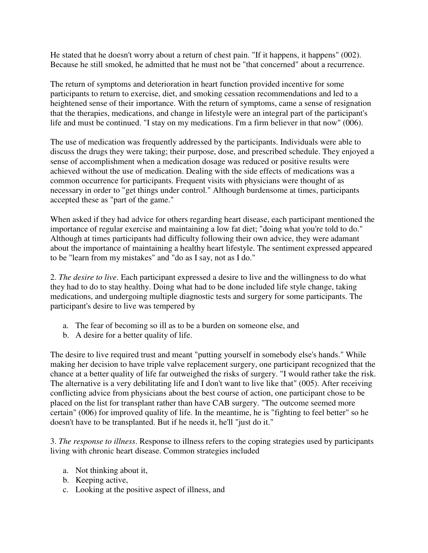He stated that he doesn't worry about a return of chest pain. "If it happens, it happens" (002). Because he still smoked, he admitted that he must not be "that concerned" about a recurrence.

The return of symptoms and deterioration in heart function provided incentive for some participants to return to exercise, diet, and smoking cessation recommendations and led to a heightened sense of their importance. With the return of symptoms, came a sense of resignation that the therapies, medications, and change in lifestyle were an integral part of the participant's life and must be continued. "I stay on my medications. I'm a firm believer in that now" (006).

The use of medication was frequently addressed by the participants. Individuals were able to discuss the drugs they were taking; their purpose, dose, and prescribed schedule. They enjoyed a sense of accomplishment when a medication dosage was reduced or positive results were achieved without the use of medication. Dealing with the side effects of medications was a common occurrence for participants. Frequent visits with physicians were thought of as necessary in order to "get things under control." Although burdensome at times, participants accepted these as "part of the game."

When asked if they had advice for others regarding heart disease, each participant mentioned the importance of regular exercise and maintaining a low fat diet; "doing what you're told to do." Although at times participants had difficulty following their own advice, they were adamant about the importance of maintaining a healthy heart lifestyle. The sentiment expressed appeared to be "learn from my mistakes" and "do as I say, not as I do."

2. *The desire to live*. Each participant expressed a desire to live and the willingness to do what they had to do to stay healthy. Doing what had to be done included life style change, taking medications, and undergoing multiple diagnostic tests and surgery for some participants. The participant's desire to live was tempered by

- a. The fear of becoming so ill as to be a burden on someone else, and
- b. A desire for a better quality of life.

The desire to live required trust and meant "putting yourself in somebody else's hands." While making her decision to have triple valve replacement surgery, one participant recognized that the chance at a better quality of life far outweighed the risks of surgery. "I would rather take the risk. The alternative is a very debilitating life and I don't want to live like that" (005). After receiving conflicting advice from physicians about the best course of action, one participant chose to be placed on the list for transplant rather than have CAB surgery. "The outcome seemed more certain" (006) for improved quality of life. In the meantime, he is "fighting to feel better" so he doesn't have to be transplanted. But if he needs it, he'll "just do it."

3. *The response to illness*. Response to illness refers to the coping strategies used by participants living with chronic heart disease. Common strategies included

- a. Not thinking about it,
- b. Keeping active,
- c. Looking at the positive aspect of illness, and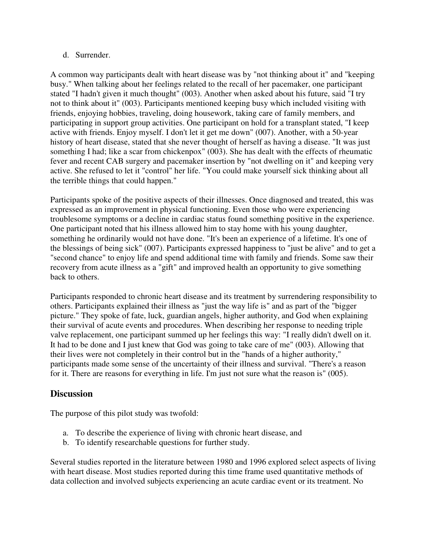#### d. Surrender.

A common way participants dealt with heart disease was by "not thinking about it" and "keeping busy." When talking about her feelings related to the recall of her pacemaker, one participant stated "I hadn't given it much thought" (003). Another when asked about his future, said "I try not to think about it" (003). Participants mentioned keeping busy which included visiting with friends, enjoying hobbies, traveling, doing housework, taking care of family members, and participating in support group activities. One participant on hold for a transplant stated, "I keep active with friends. Enjoy myself. I don't let it get me down" (007). Another, with a 50-year history of heart disease, stated that she never thought of herself as having a disease. "It was just something I had; like a scar from chickenpox" (003). She has dealt with the effects of rheumatic fever and recent CAB surgery and pacemaker insertion by "not dwelling on it" and keeping very active. She refused to let it "control" her life. "You could make yourself sick thinking about all the terrible things that could happen."

Participants spoke of the positive aspects of their illnesses. Once diagnosed and treated, this was expressed as an improvement in physical functioning. Even those who were experiencing troublesome symptoms or a decline in cardiac status found something positive in the experience. One participant noted that his illness allowed him to stay home with his young daughter, something he ordinarily would not have done. "It's been an experience of a lifetime. It's one of the blessings of being sick" (007). Participants expressed happiness to "just be alive" and to get a "second chance" to enjoy life and spend additional time with family and friends. Some saw their recovery from acute illness as a "gift" and improved health an opportunity to give something back to others.

Participants responded to chronic heart disease and its treatment by surrendering responsibility to others. Participants explained their illness as "just the way life is" and as part of the "bigger picture." They spoke of fate, luck, guardian angels, higher authority, and God when explaining their survival of acute events and procedures. When describing her response to needing triple valve replacement, one participant summed up her feelings this way: "I really didn't dwell on it. It had to be done and I just knew that God was going to take care of me" (003). Allowing that their lives were not completely in their control but in the "hands of a higher authority," participants made some sense of the uncertainty of their illness and survival. "There's a reason for it. There are reasons for everything in life. I'm just not sure what the reason is" (005).

#### **Discussion**

The purpose of this pilot study was twofold:

- a. To describe the experience of living with chronic heart disease, and
- b. To identify researchable questions for further study.

Several studies reported in the literature between 1980 and 1996 explored select aspects of living with heart disease. Most studies reported during this time frame used quantitative methods of data collection and involved subjects experiencing an acute cardiac event or its treatment. No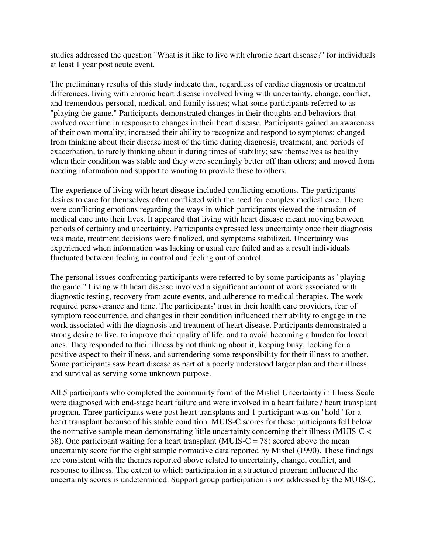studies addressed the question "What is it like to live with chronic heart disease?" for individuals at least 1 year post acute event.

The preliminary results of this study indicate that, regardless of cardiac diagnosis or treatment differences, living with chronic heart disease involved living with uncertainty, change, conflict, and tremendous personal, medical, and family issues; what some participants referred to as "playing the game." Participants demonstrated changes in their thoughts and behaviors that evolved over time in response to changes in their heart disease. Participants gained an awareness of their own mortality; increased their ability to recognize and respond to symptoms; changed from thinking about their disease most of the time during diagnosis, treatment, and periods of exacerbation, to rarely thinking about it during times of stability; saw themselves as healthy when their condition was stable and they were seemingly better off than others; and moved from needing information and support to wanting to provide these to others.

The experience of living with heart disease included conflicting emotions. The participants' desires to care for themselves often conflicted with the need for complex medical care. There were conflicting emotions regarding the ways in which participants viewed the intrusion of medical care into their lives. It appeared that living with heart disease meant moving between periods of certainty and uncertainty. Participants expressed less uncertainty once their diagnosis was made, treatment decisions were finalized, and symptoms stabilized. Uncertainty was experienced when information was lacking or usual care failed and as a result individuals fluctuated between feeling in control and feeling out of control.

The personal issues confronting participants were referred to by some participants as "playing the game." Living with heart disease involved a significant amount of work associated with diagnostic testing, recovery from acute events, and adherence to medical therapies. The work required perseverance and time. The participants' trust in their health care providers, fear of symptom reoccurrence, and changes in their condition influenced their ability to engage in the work associated with the diagnosis and treatment of heart disease. Participants demonstrated a strong desire to live, to improve their quality of life, and to avoid becoming a burden for loved ones. They responded to their illness by not thinking about it, keeping busy, looking for a positive aspect to their illness, and surrendering some responsibility for their illness to another. Some participants saw heart disease as part of a poorly understood larger plan and their illness and survival as serving some unknown purpose.

All 5 participants who completed the community form of the Mishel Uncertainty in Illness Scale were diagnosed with end-stage heart failure and were involved in a heart failure / heart transplant program. Three participants were post heart transplants and 1 participant was on "hold" for a heart transplant because of his stable condition. MUIS-C scores for these participants fell below the normative sample mean demonstrating little uncertainty concerning their illness (MUIS-C < 38). One participant waiting for a heart transplant (MUIS-C = 78) scored above the mean uncertainty score for the eight sample normative data reported by Mishel (1990). These findings are consistent with the themes reported above related to uncertainty, change, conflict, and response to illness. The extent to which participation in a structured program influenced the uncertainty scores is undetermined. Support group participation is not addressed by the MUIS-C.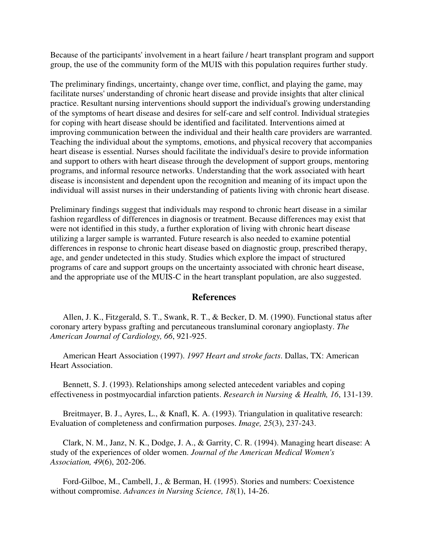Because of the participants' involvement in a heart failure / heart transplant program and support group, the use of the community form of the MUIS with this population requires further study.

The preliminary findings, uncertainty, change over time, conflict, and playing the game, may facilitate nurses' understanding of chronic heart disease and provide insights that alter clinical practice. Resultant nursing interventions should support the individual's growing understanding of the symptoms of heart disease and desires for self-care and self control. Individual strategies for coping with heart disease should be identified and facilitated. Interventions aimed at improving communication between the individual and their health care providers are warranted. Teaching the individual about the symptoms, emotions, and physical recovery that accompanies heart disease is essential. Nurses should facilitate the individual's desire to provide information and support to others with heart disease through the development of support groups, mentoring programs, and informal resource networks. Understanding that the work associated with heart disease is inconsistent and dependent upon the recognition and meaning of its impact upon the individual will assist nurses in their understanding of patients living with chronic heart disease.

Preliminary findings suggest that individuals may respond to chronic heart disease in a similar fashion regardless of differences in diagnosis or treatment. Because differences may exist that were not identified in this study, a further exploration of living with chronic heart disease utilizing a larger sample is warranted. Future research is also needed to examine potential differences in response to chronic heart disease based on diagnostic group, prescribed therapy, age, and gender undetected in this study. Studies which explore the impact of structured programs of care and support groups on the uncertainty associated with chronic heart disease, and the appropriate use of the MUIS-C in the heart transplant population, are also suggested.

#### **References**

 Allen, J. K., Fitzgerald, S. T., Swank, R. T., & Becker, D. M. (1990). Functional status after coronary artery bypass grafting and percutaneous transluminal coronary angioplasty. *The American Journal of Cardiology, 66*, 921-925.

 American Heart Association (1997). *1997 Heart and stroke facts*. Dallas, TX: American Heart Association.

 Bennett, S. J. (1993). Relationships among selected antecedent variables and coping effectiveness in postmyocardial infarction patients. *Research in Nursing & Health, 16*, 131-139.

Breitmayer, B. J., Ayres, L., & Knafl, K. A. (1993). Triangulation in qualitative research: Evaluation of completeness and confirmation purposes. *Image, 25*(3), 237-243.

 Clark, N. M., Janz, N. K., Dodge, J. A., & Garrity, C. R. (1994). Managing heart disease: A study of the experiences of older women. *Journal of the American Medical Women's Association, 49*(6), 202-206.

 Ford-Gilboe, M., Cambell, J., & Berman, H. (1995). Stories and numbers: Coexistence without compromise. *Advances in Nursing Science, 18*(1), 14-26.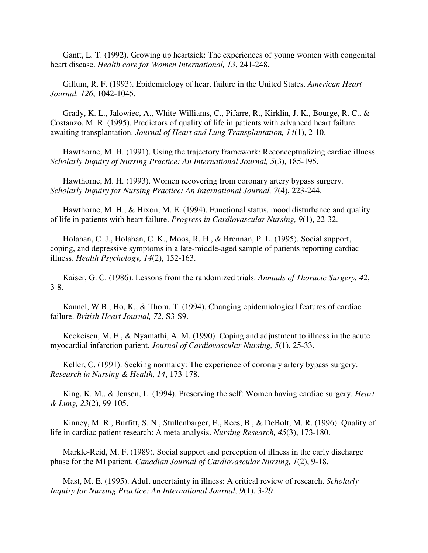Gantt, L. T. (1992). Growing up heartsick: The experiences of young women with congenital heart disease. *Health care for Women International, 13*, 241-248.

 Gillum, R. F. (1993). Epidemiology of heart failure in the United States. *American Heart Journal, 126*, 1042-1045.

 Grady, K. L., Jalowiec, A., White-Williams, C., Pifarre, R., Kirklin, J. K., Bourge, R. C., & Costanzo, M. R. (1995). Predictors of quality of life in patients with advanced heart failure awaiting transplantation. *Journal of Heart and Lung Transplantation, 14*(1), 2-10.

 Hawthorne, M. H. (1991). Using the trajectory framework: Reconceptualizing cardiac illness. *Scholarly Inquiry of Nursing Practice: An International Journal, 5*(3), 185-195.

 Hawthorne, M. H. (1993). Women recovering from coronary artery bypass surgery. *Scholarly Inquiry for Nursing Practice: An International Journal, 7*(4), 223-244.

 Hawthorne, M. H., & Hixon, M. E. (1994). Functional status, mood disturbance and quality of life in patients with heart failure. *Progress in Cardiovascular Nursing, 9*(1), 22-32.

 Holahan, C. J., Holahan, C. K., Moos, R. H., & Brennan, P. L. (1995). Social support, coping, and depressive symptoms in a late-middle-aged sample of patients reporting cardiac illness. *Health Psychology, 14*(2), 152-163.

 Kaiser, G. C. (1986). Lessons from the randomized trials. *Annuals of Thoracic Surgery, 42*, 3-8.

 Kannel, W.B., Ho, K., & Thom, T. (1994). Changing epidemiological features of cardiac failure. *British Heart Journal, 72*, S3-S9.

 Keckeisen, M. E., & Nyamathi, A. M. (1990). Coping and adjustment to illness in the acute myocardial infarction patient. *Journal of Cardiovascular Nursing, 5*(1), 25-33.

Keller, C. (1991). Seeking normalcy: The experience of coronary artery bypass surgery. *Research in Nursing & Health, 14*, 173-178.

 King, K. M., & Jensen, L. (1994). Preserving the self: Women having cardiac surgery. *Heart & Lung, 23*(2), 99-105.

 Kinney, M. R., Burfitt, S. N., Stullenbarger, E., Rees, B., & DeBolt, M. R. (1996). Quality of life in cardiac patient research: A meta analysis. *Nursing Research, 45*(3), 173-180.

 Markle-Reid, M. F. (1989). Social support and perception of illness in the early discharge phase for the MI patient. *Canadian Journal of Cardiovascular Nursing, 1*(2), 9-18.

 Mast, M. E. (1995). Adult uncertainty in illness: A critical review of research. *Scholarly Inquiry for Nursing Practice: An International Journal, 9*(1), 3-29.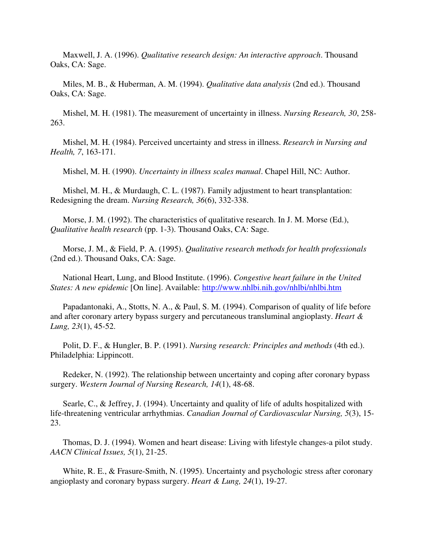Maxwell, J. A. (1996). *Qualitative research design: An interactive approach*. Thousand Oaks, CA: Sage.

 Miles, M. B., & Huberman, A. M. (1994). *Qualitative data analysis* (2nd ed.). Thousand Oaks, CA: Sage.

 Mishel, M. H. (1981). The measurement of uncertainty in illness. *Nursing Research, 30*, 258- 263.

 Mishel, M. H. (1984). Perceived uncertainty and stress in illness. *Research in Nursing and Health, 7*, 163-171.

Mishel, M. H. (1990). *Uncertainty in illness scales manual*. Chapel Hill, NC: Author.

 Mishel, M. H., & Murdaugh, C. L. (1987). Family adjustment to heart transplantation: Redesigning the dream. *Nursing Research, 36*(6), 332-338.

 Morse, J. M. (1992). The characteristics of qualitative research. In J. M. Morse (Ed.), *Qualitative health research* (pp. 1-3). Thousand Oaks, CA: Sage.

 Morse, J. M., & Field, P. A. (1995). *Qualitative research methods for health professionals* (2nd ed.). Thousand Oaks, CA: Sage.

 National Heart, Lung, and Blood Institute. (1996). *Congestive heart failure in the United States: A new epidemic* [On line]. Available: http://www.nhlbi.nih.gov/nhlbi/nhlbi.htm

 Papadantonaki, A., Stotts, N. A., & Paul, S. M. (1994). Comparison of quality of life before and after coronary artery bypass surgery and percutaneous transluminal angioplasty. *Heart & Lung, 23*(1), 45-52.

 Polit, D. F., & Hungler, B. P. (1991). *Nursing research: Principles and methods* (4th ed.). Philadelphia: Lippincott.

 Redeker, N. (1992). The relationship between uncertainty and coping after coronary bypass surgery. *Western Journal of Nursing Research, 14*(1), 48-68.

Searle, C., & Jeffrey, J. (1994). Uncertainty and quality of life of adults hospitalized with life-threatening ventricular arrhythmias. *Canadian Journal of Cardiovascular Nursing, 5*(3), 15- 23.

 Thomas, D. J. (1994). Women and heart disease: Living with lifestyle changes-a pilot study. *AACN Clinical Issues, 5*(1), 21-25.

 White, R. E., & Frasure-Smith, N. (1995). Uncertainty and psychologic stress after coronary angioplasty and coronary bypass surgery. *Heart & Lung, 24*(1), 19-27.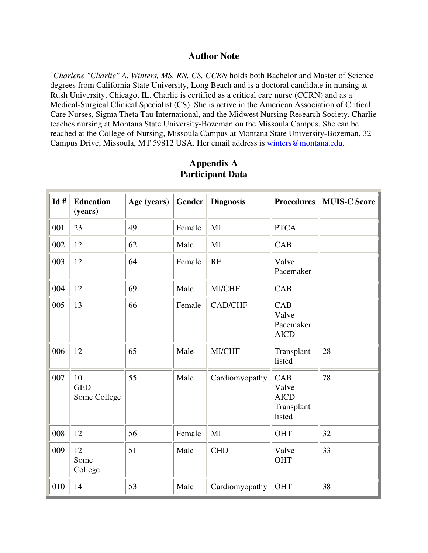#### **Author Note**

**<sup>+</sup>***Charlene "Charlie" A. Winters, MS, RN, CS, CCRN* holds both Bachelor and Master of Science degrees from California State University, Long Beach and is a doctoral candidate in nursing at Rush University, Chicago, IL. Charlie is certified as a critical care nurse (CCRN) and as a Medical-Surgical Clinical Specialist (CS). She is active in the American Association of Critical Care Nurses, Sigma Theta Tau International, and the Midwest Nursing Research Society. Charlie teaches nursing at Montana State University-Bozeman on the Missoula Campus. She can be reached at the College of Nursing, Missoula Campus at Montana State University-Bozeman, 32 Campus Drive, Missoula, MT 59812 USA. Her email address is winters@montana.edu.

| Id# | <b>Education</b><br>(years)      | Age (years) | <b>Gender</b> | <b>Diagnosis</b> | <b>Procedures</b>                                   | <b>MUIS-C Score</b> |
|-----|----------------------------------|-------------|---------------|------------------|-----------------------------------------------------|---------------------|
| 001 | 23                               | 49          | Female        | MI               | <b>PTCA</b>                                         |                     |
| 002 | 12                               | 62          | Male          | MI               | <b>CAB</b>                                          |                     |
| 003 | 12                               | 64          | Female        | RF               | Valve<br>Pacemaker                                  |                     |
| 004 | 12                               | 69          | Male          | MI/CHF           | <b>CAB</b>                                          |                     |
| 005 | 13                               | 66          | Female        | <b>CAD/CHF</b>   | CAB<br>Valve<br>Pacemaker<br><b>AICD</b>            |                     |
| 006 | 12                               | 65          | Male          | <b>MI/CHF</b>    | Transplant<br>listed                                | 28                  |
| 007 | 10<br><b>GED</b><br>Some College | 55          | Male          | Cardiomyopathy   | CAB<br>Valve<br><b>AICD</b><br>Transplant<br>listed | 78                  |
| 008 | 12                               | 56          | Female        | MI               | OHT                                                 | 32                  |
| 009 | 12<br>Some<br>College            | 51          | Male          | <b>CHD</b>       | Valve<br>OHT                                        | 33                  |
| 010 | 14                               | 53          | Male          | Cardiomyopathy   | <b>OHT</b>                                          | 38                  |

# **Appendix A Participant Data**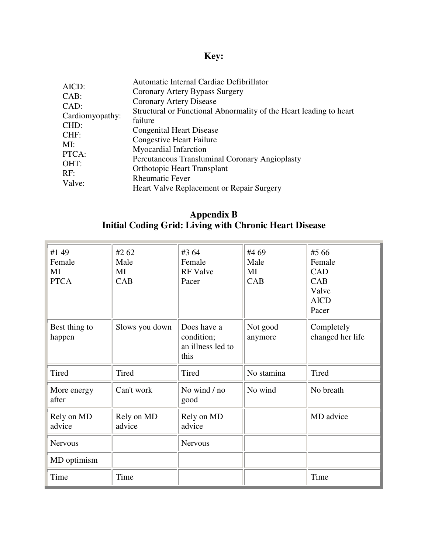# **Key:**

|                 | Automatic Internal Cardiac Defibrillator                           |
|-----------------|--------------------------------------------------------------------|
| AICD:           | Coronary Artery Bypass Surgery                                     |
| $CAB$ :         | Coronary Artery Disease                                            |
| CAD:            | Structural or Functional Abnormality of the Heart leading to heart |
| Cardiomyopathy: | failure                                                            |
| CHD:            | <b>Congenital Heart Disease</b>                                    |
| CHF:            | <b>Congestive Heart Failure</b>                                    |
| MI:             | Myocardial Infarction                                              |
| PTCA:           | Percutaneous Transluminal Coronary Angioplasty                     |
| OHT:            | <b>Orthotopic Heart Transplant</b>                                 |
| RF:             | <b>Rheumatic Fever</b>                                             |
| Valve:          | Heart Valve Replacement or Repair Surgery                          |

## **Appendix B Initial Coding Grid: Living with Chronic Heart Disease**

| #1 49<br>Female<br>MI<br><b>PTCA</b> | #2 62<br>Male<br>MI<br>CAB | #3 64<br>Female<br><b>RF</b> Valve<br>Pacer            | #4 69<br>Male<br>MI<br>CAB | #5 66<br>Female<br>CAD<br>CAB<br>Valve<br><b>AICD</b><br>Pacer |
|--------------------------------------|----------------------------|--------------------------------------------------------|----------------------------|----------------------------------------------------------------|
| Best thing to<br>happen              | Slows you down             | Does have a<br>condition;<br>an illness led to<br>this | Not good<br>anymore        | Completely<br>changed her life                                 |
| Tired                                | Tired                      | <b>Tired</b>                                           | No stamina                 | <b>Tired</b>                                                   |
| More energy<br>after                 | Can't work                 | No wind / no<br>good                                   | No wind                    | No breath                                                      |
| Rely on MD<br>advice                 | Rely on MD<br>advice       | Rely on MD<br>advice                                   |                            | MD advice                                                      |
| <b>Nervous</b>                       |                            | <b>Nervous</b>                                         |                            |                                                                |
| MD optimism                          |                            |                                                        |                            |                                                                |
| Time                                 | Time                       |                                                        |                            | Time                                                           |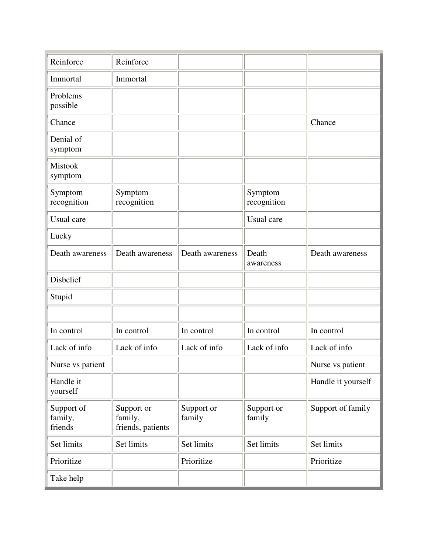| Reinforce                        | Reinforce                                  |                      |                        |                    |
|----------------------------------|--------------------------------------------|----------------------|------------------------|--------------------|
| Immortal                         | Immortal                                   |                      |                        |                    |
| Problems<br>possible             |                                            |                      |                        |                    |
| Chance                           |                                            |                      |                        | Chance             |
| Denial of<br>symptom             |                                            |                      |                        |                    |
| <b>Mistook</b><br>symptom        |                                            |                      |                        |                    |
| Symptom<br>recognition           | Symptom<br>recognition                     |                      | Symptom<br>recognition |                    |
| Usual care                       |                                            |                      | Usual care             |                    |
| Lucky                            |                                            |                      |                        |                    |
| Death awareness                  | Death awareness                            | Death awareness      | Death<br>awareness     | Death awareness    |
| Disbelief                        |                                            |                      |                        |                    |
| Stupid                           |                                            |                      |                        |                    |
|                                  |                                            |                      |                        |                    |
| In control                       | In control                                 | In control           | In control             | In control         |
| Lack of info                     | Lack of info                               | Lack of info         | Lack of info           | Lack of info       |
| Nurse vs patient                 |                                            |                      |                        | Nurse vs patient   |
| Handle it<br>yourself            |                                            |                      |                        | Handle it yourself |
| Support of<br>family,<br>friends | Support or<br>family,<br>friends, patients | Support or<br>family | Support or<br>family   | Support of family  |
| Set limits                       | Set limits                                 | Set limits           | Set limits             | Set limits         |
| Prioritize                       |                                            | Prioritize           |                        | Prioritize         |
| Take help                        |                                            |                      |                        |                    |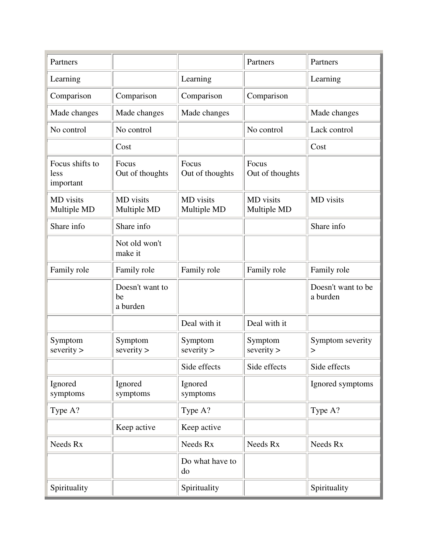| Partners                             |                                   |                          | Partners                 | Partners                       |
|--------------------------------------|-----------------------------------|--------------------------|--------------------------|--------------------------------|
| Learning                             |                                   | Learning                 |                          | Learning                       |
| Comparison                           | Comparison                        | Comparison               | Comparison               |                                |
| Made changes                         | Made changes                      | Made changes             |                          | Made changes                   |
| No control                           | No control                        |                          | No control               | Lack control                   |
|                                      | Cost                              |                          |                          | Cost                           |
| Focus shifts to<br>less<br>important | Focus<br>Out of thoughts          | Focus<br>Out of thoughts | Focus<br>Out of thoughts |                                |
| MD visits<br>Multiple MD             | MD visits<br>Multiple MD          | MD visits<br>Multiple MD | MD visits<br>Multiple MD | MD visits                      |
| Share info                           | Share info                        |                          |                          | Share info                     |
|                                      | Not old won't<br>make it          |                          |                          |                                |
| Family role                          | Family role                       | Family role              | Family role              | Family role                    |
|                                      | Doesn't want to<br>be<br>a burden |                          |                          | Doesn't want to be<br>a burden |
|                                      |                                   | Deal with it             | Deal with it             |                                |
| Symptom<br>severity                  | Symptom<br>severity               | Symptom<br>severity      | Symptom<br>severity      | Symptom severity<br>>          |
|                                      |                                   | Side effects             | Side effects             | Side effects                   |
| Ignored<br>symptoms                  | Ignored<br>symptoms               | Ignored<br>symptoms      |                          | Ignored symptoms               |
| Type A?                              |                                   | Type A?                  |                          | Type A?                        |
|                                      | Keep active                       | Keep active              |                          |                                |
| Needs Rx                             |                                   | Needs Rx                 | Needs Rx                 | Needs Rx                       |
|                                      |                                   | Do what have to<br>do    |                          |                                |
| Spirituality                         |                                   | Spirituality             |                          | Spirituality                   |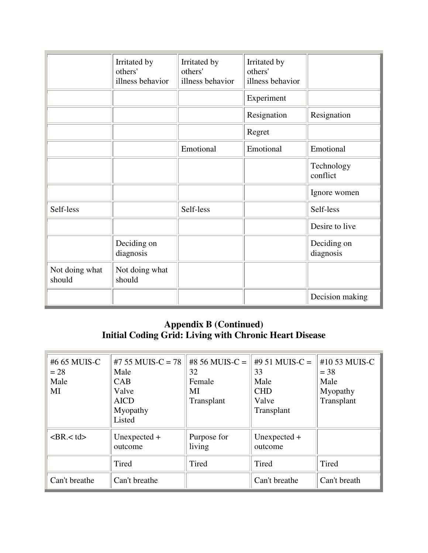|                          | Irritated by<br>others'<br>illness behavior | Irritated by<br>others'<br>illness behavior | Irritated by<br>others'<br>illness behavior |                          |
|--------------------------|---------------------------------------------|---------------------------------------------|---------------------------------------------|--------------------------|
|                          |                                             |                                             | Experiment                                  |                          |
|                          |                                             |                                             | Resignation                                 | Resignation              |
|                          |                                             |                                             | Regret                                      |                          |
|                          |                                             | Emotional                                   | Emotional                                   | Emotional                |
|                          |                                             |                                             |                                             | Technology<br>conflict   |
|                          |                                             |                                             |                                             | Ignore women             |
| Self-less                |                                             | Self-less                                   |                                             | Self-less                |
|                          |                                             |                                             |                                             | Desire to live           |
|                          | Deciding on<br>diagnosis                    |                                             |                                             | Deciding on<br>diagnosis |
| Not doing what<br>should | Not doing what<br>should                    |                                             |                                             |                          |
|                          |                                             |                                             |                                             | Decision making          |

# **Appendix B (Continued) Initial Coding Grid: Living with Chronic Heart Disease**

| #6 65 MUIS-C<br>$= 28$<br>Male<br>MI | #7 55 MUIS-C = $78$<br>Male<br><b>CAB</b><br>Valve<br><b>AICD</b><br>Myopathy<br>Listed | #8 56 MUIS-C =<br>32<br>Female<br>MI<br>Transplant | #9 51 MUIS-C =<br>33<br>Male<br><b>CHD</b><br>Valve<br>Transplant | #10 53 MUIS-C<br>$= 38$<br>Male<br>Myopathy<br>Transplant |
|--------------------------------------|-----------------------------------------------------------------------------------------|----------------------------------------------------|-------------------------------------------------------------------|-----------------------------------------------------------|
| $<$ BR. $<$ td $>$                   | Unexpected $+$<br>outcome                                                               | Purpose for<br>living                              | Unexpected $+$<br>outcome                                         |                                                           |
|                                      | Tired                                                                                   | Tired                                              | Tired                                                             | Tired                                                     |
| Can't breathe                        | Can't breathe                                                                           |                                                    | Can't breathe                                                     | Can't breath                                              |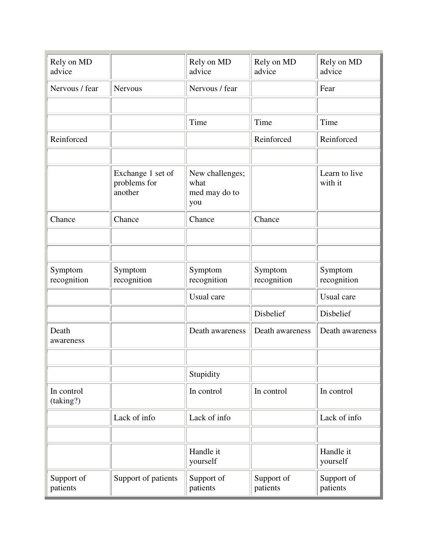| Rely on MD<br>advice    |                                              | Rely on MD<br>advice                            | Rely on MD<br>advice   | Rely on MD<br>advice     |
|-------------------------|----------------------------------------------|-------------------------------------------------|------------------------|--------------------------|
| Nervous / fear          | <b>Nervous</b>                               | Nervous / fear                                  |                        | Fear                     |
|                         |                                              |                                                 |                        |                          |
|                         |                                              | Time                                            | Time                   | Time                     |
| Reinforced              |                                              |                                                 | Reinforced             | Reinforced               |
|                         |                                              |                                                 |                        |                          |
|                         | Exchange 1 set of<br>problems for<br>another | New challenges;<br>what<br>med may do to<br>you |                        | Learn to live<br>with it |
| Chance                  | Chance                                       | Chance                                          | Chance                 |                          |
|                         |                                              |                                                 |                        |                          |
|                         |                                              |                                                 |                        |                          |
| Symptom<br>recognition  | Symptom<br>recognition                       | Symptom<br>recognition                          | Symptom<br>recognition | Symptom<br>recognition   |
|                         |                                              | Usual care                                      |                        | Usual care               |
|                         |                                              |                                                 | Disbelief              | Disbelief                |
| Death<br>awareness      |                                              | Death awareness                                 | Death awareness        | Death awareness          |
|                         |                                              |                                                 |                        |                          |
|                         |                                              | Stupidity                                       |                        |                          |
| In control<br>(taking?) |                                              | In control                                      | In control             | In control               |
|                         | Lack of info                                 | Lack of info                                    |                        | Lack of info             |
|                         |                                              |                                                 |                        |                          |
|                         |                                              | Handle it<br>yourself                           |                        | Handle it<br>yourself    |
| Support of<br>patients  | Support of patients                          | Support of<br>patients                          | Support of<br>patients | Support of<br>patients   |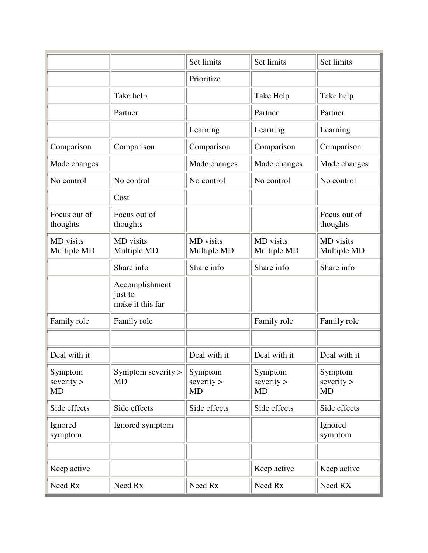|                                  |                                               | Set limits                | Set limits                       | Set limits                       |
|----------------------------------|-----------------------------------------------|---------------------------|----------------------------------|----------------------------------|
|                                  |                                               | Prioritize                |                                  |                                  |
|                                  | Take help                                     |                           | Take Help                        | Take help                        |
|                                  | Partner                                       |                           | Partner                          | Partner                          |
|                                  |                                               | Learning                  | Learning                         | Learning                         |
| Comparison                       | Comparison                                    | Comparison                | Comparison                       | Comparison                       |
| Made changes                     |                                               | Made changes              | Made changes                     | Made changes                     |
| No control                       | No control                                    | No control                | No control                       | No control                       |
|                                  | Cost                                          |                           |                                  |                                  |
| Focus out of<br>thoughts         | Focus out of<br>thoughts                      |                           |                                  | Focus out of<br>thoughts         |
| MD visits<br>Multiple MD         | MD visits<br>Multiple MD                      | MD visits<br>Multiple MD  | MD visits<br>Multiple MD         | MD visits<br>Multiple MD         |
|                                  | Share info                                    | Share info                | Share info                       | Share info                       |
|                                  | Accomplishment<br>just to<br>make it this far |                           |                                  |                                  |
| Family role                      | Family role                                   |                           | Family role                      | Family role                      |
|                                  |                                               |                           |                                  |                                  |
| Deal with it                     |                                               | Deal with it              | Deal with it                     | Deal with it                     |
| Symptom<br>severity<br><b>MD</b> | Symptom severity $>$<br><b>MD</b>             | Symptom<br>severity<br>MD | Symptom<br>severity<br><b>MD</b> | Symptom<br>severity<br><b>MD</b> |
| Side effects                     | Side effects                                  | Side effects              | Side effects                     | Side effects                     |
| Ignored<br>symptom               | Ignored symptom                               |                           |                                  | Ignored<br>symptom               |
|                                  |                                               |                           |                                  |                                  |
| Keep active                      |                                               |                           | Keep active                      | Keep active                      |
| Need Rx                          | Need Rx                                       | Need Rx                   | Need Rx                          | Need RX                          |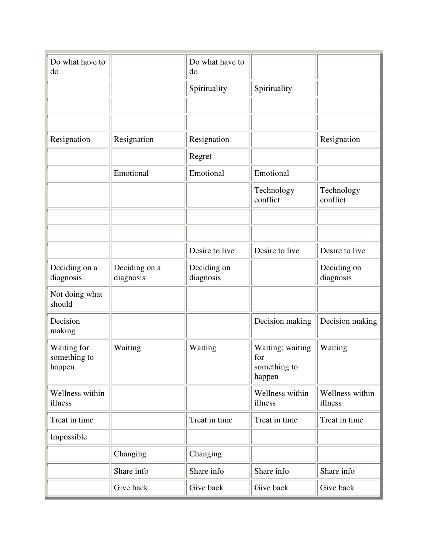| Do what have to<br>do                 |                            | Do what have to<br>do    |                                                   |                            |
|---------------------------------------|----------------------------|--------------------------|---------------------------------------------------|----------------------------|
|                                       |                            | Spirituality             | Spirituality                                      |                            |
|                                       |                            |                          |                                                   |                            |
|                                       |                            |                          |                                                   |                            |
| Resignation                           | Resignation                | Resignation              |                                                   | Resignation                |
|                                       |                            | Regret                   |                                                   |                            |
|                                       | Emotional                  | Emotional                | Emotional                                         |                            |
|                                       |                            |                          | Technology<br>conflict                            | Technology<br>conflict     |
|                                       |                            |                          |                                                   |                            |
|                                       |                            |                          |                                                   |                            |
|                                       |                            | Desire to live           | Desire to live                                    | Desire to live             |
| Deciding on a<br>diagnosis            | Deciding on a<br>diagnosis | Deciding on<br>diagnosis |                                                   | Deciding on<br>diagnosis   |
| Not doing what<br>should              |                            |                          |                                                   |                            |
| Decision<br>making                    |                            |                          | Decision making                                   | Decision making            |
| Waiting for<br>something to<br>happen | Waiting                    | Waiting                  | Waiting; waiting<br>for<br>something to<br>happen | Waiting                    |
| Wellness within<br>illness            |                            |                          | Wellness within<br>illness                        | Wellness within<br>illness |
| Treat in time                         |                            | Treat in time            | Treat in time                                     | Treat in time              |
| Impossible                            |                            |                          |                                                   |                            |
|                                       | Changing                   | Changing                 |                                                   |                            |
|                                       | Share info                 | Share info               | Share info                                        | Share info                 |
|                                       | Give back                  | Give back                | Give back                                         | Give back                  |